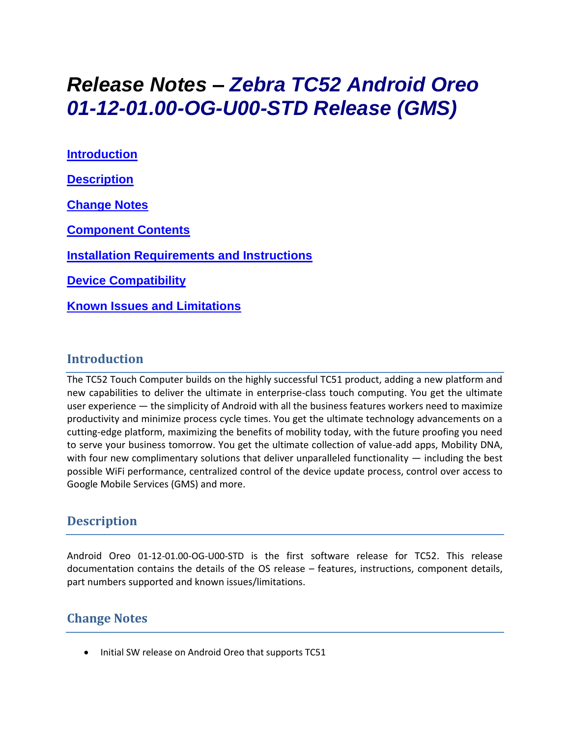# *Release Notes – Zebra TC52 Android Oreo 01-12-01.00-OG-U00-STD Release (GMS)*

**[Introduction](#page-0-0) [Description](#page-0-1) [Change Notes](#page-0-2) [Component Contents](#page-1-0) [Installation Requirements](#page-2-0) and Instructions [Device Compatibility](#page-2-1) Known [Issues and Limitations](#page-2-2)**

#### <span id="page-0-0"></span>**Introduction**

<span id="page-0-1"></span>The TC52 Touch Computer builds on the highly successful TC51 product, adding a new platform and new capabilities to deliver the ultimate in enterprise-class touch computing. You get the ultimate user experience — the simplicity of Android with all the business features workers need to maximize productivity and minimize process cycle times. You get the ultimate technology advancements on a cutting-edge platform, maximizing the benefits of mobility today, with the future proofing you need to serve your business tomorrow. You get the ultimate collection of value-add apps, Mobility DNA, with four new complimentary solutions that deliver unparalleled functionality  $-$  including the best possible WiFi performance, centralized control of the device update process, control over access to Google Mobile Services (GMS) and more.

### **Description**

Android Oreo 01-12-01.00-OG-U00-STD is the first software release for TC52. This release documentation contains the details of the OS release – features, instructions, component details, part numbers supported and known issues/limitations.

#### <span id="page-0-2"></span>**Change Notes**

• Initial SW release on Android Oreo that supports TC51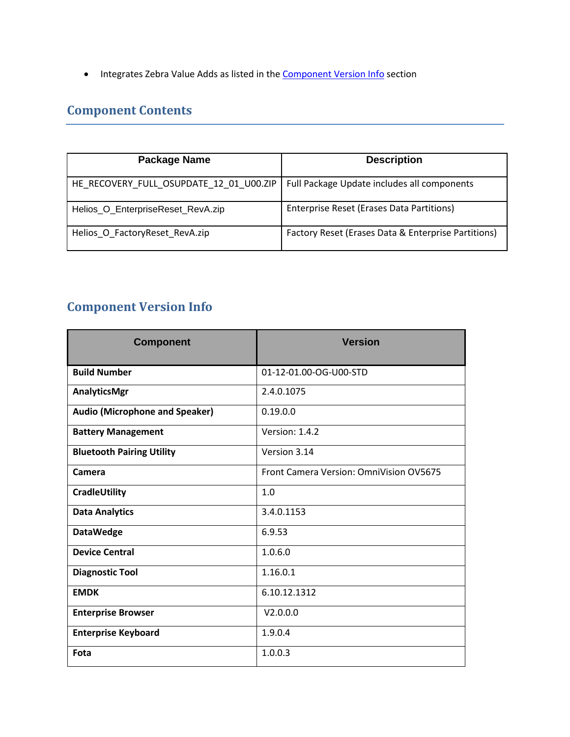• Integrates Zebra Value Adds as listed in the **Component Version Info** section

## <span id="page-1-0"></span>**Component Contents**

| <b>Package Name</b>                                                                   | <b>Description</b>                                  |
|---------------------------------------------------------------------------------------|-----------------------------------------------------|
| HE_RECOVERY_FULL_OSUPDATE_12_01_U00.ZIP   Full Package Update includes all components |                                                     |
| Helios_O_EnterpriseReset_RevA.zip                                                     | Enterprise Reset (Erases Data Partitions)           |
| Helios O FactoryReset RevA.zip                                                        | Factory Reset (Erases Data & Enterprise Partitions) |

# <span id="page-1-1"></span>**Component Version Info**

| <b>Component</b>                      | <b>Version</b>                          |
|---------------------------------------|-----------------------------------------|
| <b>Build Number</b>                   | 01-12-01.00-OG-U00-STD                  |
| AnalyticsMgr                          | 2.4.0.1075                              |
| <b>Audio (Microphone and Speaker)</b> | 0.19.0.0                                |
| <b>Battery Management</b>             | Version: 1.4.2                          |
| <b>Bluetooth Pairing Utility</b>      | Version 3.14                            |
| Camera                                | Front Camera Version: OmniVision OV5675 |
| CradleUtility                         | 1.0                                     |
| <b>Data Analytics</b>                 | 3.4.0.1153                              |
| <b>DataWedge</b>                      | 6.9.53                                  |
| <b>Device Central</b>                 | 1.0.6.0                                 |
| <b>Diagnostic Tool</b>                | 1.16.0.1                                |
| <b>EMDK</b>                           | 6.10.12.1312                            |
| <b>Enterprise Browser</b>             | V2.0.0.0                                |
| <b>Enterprise Keyboard</b>            | 1.9.0.4                                 |
| Fota                                  | 1.0.0.3                                 |